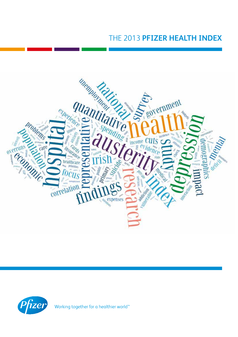# THE 2013 **PFIZER HEALTH INDEX**





Working together for a healthier world<sup>™</sup>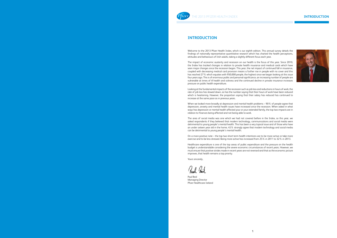### **INTRODUCTION**



## **INTRODUCTION** PEIZER HEALTH INDEX

### **INTRODUCTION**

Welcome to the 2013 Pfizer Health Index, which is our eighth edition. This annual survey details the findings of nationally representative quantitative research which has charted the health perceptions, attitudes and behaviours of Irish adults, taking a slightly different focus each year.

The impact of economic austerity and recession on our health is the focus of this year. Since 2010, the Index has tracked changes in relation to private health insurance and medical cards which have seen major changes since the recession began. This year, the net impact of continued fall in insurance, coupled with decreasing medical card provision means a further rise in people with no cover and this has reached 27% which equates with 950,000 people, the highest since we began looking at this issue four years ago. This is of enormous public and personal significance, an increasing number of people are vulnerable at times of ill health and sickness and the continued decline in private insurance increases pressure on public health expenditure.

When we looked more broadly at depression and mental health problems – 90% of people agree that depression, anxiety and mental health issues have increased since the recession. When asked in what ways has depression or mental health affected your or your extended family, the top two impacts are in relation to finances being affected and not being able to work.

Looking at the fundamental impacts of the recession such as job loss and reductions in hours of work, the rate of job loss has slowed down, as has the number saying that their hours of work have been reduced which is heartening. However, the proportion saying that their salary has reduced has continued to increase at the same pace as in previous years.

The area of social media was one which we had not covered before in the Index, so this year, we asked respondents if they believed that modern technology, communications and social media were detrimental to young people's mental health. This has been a very topical issue and of those who have an under sixteen year old in the home, 45% strongly agree that modern technology and social media can be detrimental to young people's mental health.

On a more positive note – the top two short term health intentions are to be more active or take more exercise and to be less stressed. Being more active has increased from 25% in 2011 to 32% in 2013.

Healthcare expenditure is one of the top areas of public expenditure and the pressure on the health budget is understandable considering the severe economic circumstances of recent years. However, we must ensure that positive strides made in recent years are not reversed and that as the economic picture improves, that health remains a top priority.

Yours sincerely,

Paul Reid Managing Director Pfizer Healthcare Ireland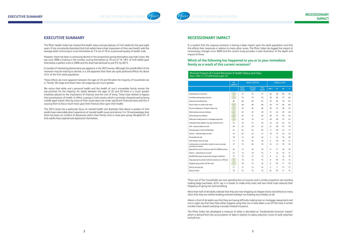

## **RECESSIONARY IMPACT**

It is evident that the ongoing recession is having a deep impact upon the adult population and that this affects their responses in relation to many other issues. The Pfizer Index has logged the impact of recessionary changes since 2009 and the current study provides a stark illustration of the depth and impact of these.

#### **Which of the following has happened to you or to your immediate family as a result of this current recession?**

Three out of four households are now spending less on luxuries and a similar proportion are avoiding making large purchases. 63% say it is harder to make ends meet and two thirds have reduced their frequency of going out and socialising.

More than half of all adults indicate that they are now shopping at cheaper stores and almost as many claim that they are neither booking overseas holidays nor booking any holidays at all.

About a third of all adults say that they are having difficulty making loan or mortgage repayments and one in eight say that they have either stopped using their car or have taken a car off the road. A similar number have ceased investing in private medical insurance.

The Pfizer Index has developed a measure of what is described as "fundamental recession impact" which is derived from the accumulation of data in relation to salary reduction, hours of work reduction and job loss.

## **EXECUTIVE SUMMARY**

The Pfizer Health Index has charted the health status and perceptions of Irish adults for the past eight years. It has consistently illustrated that Irish adults have a high impression of their own health, with the average adult continuing to score themselves as 7.5 out of 10 on a perceived quality of health scale.

However, there has been a continuing decline in the proportions giving themselves very high scores. We see since 2006 a halving in the number scoring themselves as 10 out of 10. 18% of Irish adults gave themselves a perfect score in 2006 and this level had declined to just 9% by 2013.

A number of interesting phenomena are apparent in the 2013 survey. Although the overall effect of the recession may be starting to decline, it is still apparent that there are quite profound effects for about 43% of the Irish adult population.

These effects are most apparent between the ages of 25 and 50 when the majority of households are in "family" life stage and where their net outgoings are much greater.

We notice that while one's personal health and the health of one's immediate family remain the top priorities for the majority, for adults between the ages of 25 and 50 there is a much greater emphasis placed on the importance of finances and the cost of living. These have started to bypass their prioritisation of health. In effect, a group in Irish society, which is primarily characterised by being middle aged (rather than by virtue of their social class) are under significant financial stress and this is causing them to focus much more upon their finances than upon their health.

The 2013 study has a particular focus on mental health and illustrates that about a quarter of Irish adults have reasonably direct experience of mental health issues and almost 3 in 10 acknowledges that there has been an incident of depression within their family circle or close peer group. Roughly 6% of Irish adults have experienced depression themselves.

| <b>ALL</b>   |                       | <b>HEALTH STATUS</b>     |                       |      | <b>SOCIAL CLASS</b> |    |    |
|--------------|-----------------------|--------------------------|-----------------------|------|---------------------|----|----|
| <b>JULTS</b> |                       |                          |                       |      |                     |    |    |
|              | Good<br><b>Health</b> | Average<br><b>Health</b> | Poor<br><b>Health</b> | ABC1 | C <sub>2</sub>      | DE | F  |
| 75           | 77                    | 74                       | 77                    | 60   | 69                  | 80 | 70 |
| 72           | 72                    | 72                       | 76                    | 58   | 66                  | 77 | 69 |
| 66           | 66                    | 69                       | 67                    | 55   | 62                  | 70 | 62 |
| 63           | 58                    | 68                       | 68                    | 56   | 53                  | 66 | 66 |
| 54           | 54                    | 56                       | 58                    | 39   | 47                  | 58 | 54 |
| 47           | 47                    | 49                       | 49                    | 31   | 43                  | 49 | 45 |
| 46           | 43                    | 51                       | 50                    | 28   | 41                  | 49 | 44 |
| 33           | 32                    | 39                       | 33                    | 20   | 29                  | 37 | 27 |
| 31           | 32                    | 31                       | 34                    | 16   | 24                  | 35 | 33 |
| 26           | 27                    | 29                       | 22                    | 21   | 28                  | 27 | 19 |
| 21           | 24                    | 22                       | 20                    | 11   | 20                  | 24 | 17 |
| 19           | 23                    | 22                       | 15                    | 10   | 17                  | 22 | 16 |
| 18           | 14                    | 20                       | 23                    | 7    | 14                  | 18 | 20 |
| 17           | 15                    | 22                       | 18                    | 6    | 18                  | 18 | 11 |
| 17           | 15                    | 20                       | 19                    | 12   | 13                  | 19 | 16 |
| 16           | 17                    | 18                       | 15                    | 11   | 11                  | 18 | 18 |
| 14           | 13                    | 18                       | 14                    | 7    | 13                  | 16 | 11 |
| 13           | 15                    | 13                       | 13                    | 4    | 6                   | 16 | 15 |
| 12           | 12                    | 12                       | 13                    | 8    | 10                  | 15 | 8  |
| 12           | 10                    | 13                       | 16                    | 6    | 10                  | 11 | 15 |
| 11           | 8                     | 13                       | 14                    | 3    | 7                   | 13 | 11 |
| 14           | 14                    | 13                       | 13                    | 25   | 18                  | 11 | 17 |

|                                                                                | <b>ALL</b><br><b>ADULTS</b> | <b>HEALTH STATUS</b>  | <b>SOCIAL CLASS</b>      |                       |      |                |           |    |
|--------------------------------------------------------------------------------|-----------------------------|-----------------------|--------------------------|-----------------------|------|----------------|-----------|----|
|                                                                                |                             | Good<br><b>Health</b> | Average<br><b>Health</b> | Poor<br><b>Health</b> | ABC1 | C <sub>2</sub> | <b>DE</b> | F  |
| Spending less on luxuries                                                      | 75                          | 77                    | 74                       | 77                    | 60   | 69             | 80        | 70 |
| Avoiding making big purchases                                                  | 72                          | 72                    | 72                       | 76                    | 58   | 66             | 77        | 69 |
| Going out/socialising less                                                     | 66                          | 66                    | 69                       | 67                    | 55   | 62             | 70        | 62 |
| Much harder to make ends meet                                                  | 63                          | 58                    | 68                       | 68                    | 56   | 53             | 66        | 66 |
| Grocery shopping in cheaper shops now                                          | 54                          | 54                    | 56                       | 58                    | 39   | 47             | 58        | 54 |
| Not booking overseas holidays                                                  | 47                          | 47                    | 49                       | 49                    | 31   | 43             | 49        | 45 |
| Not booking any holidays                                                       | 46                          | 43                    | 51                       | 50                    | 28   | 41             | 49        | 44 |
| Difficulties making loan or mortgage payments                                  | 33                          | 32                    | 39                       | 33                    | 20   | 29             | 37        | 27 |
| Changed utility supplier (e.g. gas, electricity etc)                           | 31                          | 32                    | 31                       | 34                    | 16   | 24             | 35        | 33 |
| Self - reduced salary at work                                                  | 26                          | 27                    | 29                       | 22                    | 21   | 28             | 27        | 19 |
| Giving up gym or club memberships                                              | 21                          | 24                    | 22                       | 20                    | 11   | 20             | 24        | 17 |
| Partner - reduced salary at work                                               | 19                          | 23                    | 22                       | 15                    | 10   | 17             | 22        | 16 |
| Personally lost job                                                            | 18                          | 14                    | 20                       | 23                    | 7    | 14             | 18        | 20 |
| Self-reduced hours at work                                                     | 17                          | 15                    | 22                       | 18                    | 6    | 18             | 18        | 11 |
| Cutting down on kids after-school or extra curricular<br>activities or lessons | 17                          | 15                    | 20                       | 19                    | 12   | 13             | 19        | 16 |
| Queried the cost of medicines with the GP/Pharmacist                           | 16                          | 17                    | 18                       | 15                    | 11   | 11             | 18        | 18 |
| Partner - reduced hours at work                                                | 14                          | 13                    | 18                       | 14                    | 7    | 13             | 16        | 11 |
| Ask GP/Pharmacist to prescribe cheaper medicines                               | 13                          | 15                    | 13                       | 13                    | 4    | 6              | 16        | 15 |
| Stop paying for private medical insurance (i.e. VHI etc)                       | 12                          | 12                    | 12                       | 13                    | 8    | 10             | 15        | 8  |
| Stopped using car/car off the road                                             | 12                          | 10                    | 13                       | 16                    | 6    | 10             | 11        | 15 |
| Partner has lost job                                                           | 11                          | 8                     | 13                       | 14                    | 3    | 7              | 13        | 11 |
| None of these                                                                  | 14                          | 14                    | 13                       | 13                    | 25   | 18             | 11        | 17 |

Personal Impact of Current Recession X Health Status and Class Base: 1003 / 3, 551,000 Adults Aged 16+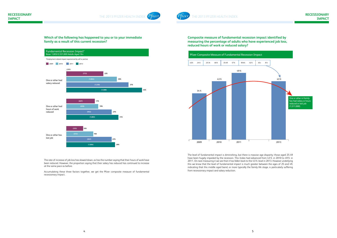



**Composite measure of fundamental recession impact identified by measuring the percentage of adults who have experienced job loss, reduced hours of work or reduced salary?**

The level of fundamental impact is diminishing, but there is massive age disparity: those aged 25-49 have been hugely impeded by the recession. This Index had advanced from 43% in 2010 to 49% in 2011. On next measuring it we see that it has fallen back to the 43% level in 2013. However underlying this we know that the level of fundamental impact is much greater between the ages of 25 and 49, indicating that this middle aged band, or more typically the family life stage, is particularly suffering from recessionary impact and salary reduction.

**Which of the following has happened to you or to your immediate family as a result of this current recession?**

The rate of increase of job loss has slowed down, as has the number saying that their hours of work have been reduced. However, the proportion saying that their salary has reduced has continued to increase at the same pace as before.

Accumulating these three factors together, we get the Pfizer composite measure of fundamental recessionary impact.





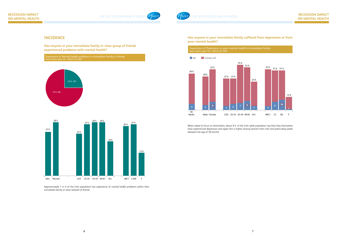

## **RECESSION IMPACT ON MENTAL HEALTH**

**Has anyone in your immediate family suffered from depression or from poor mental health?** 



Experience of Mental Health problems in immediate family or friends Base: Adults aged 16+, 1003/3,551,000

> When asked to focus on themselves, about 6% of the Irish adult population say that they themselves have experienced depression and again this is higher among women than men and particularly peaks between the age of 50 and 64.

## **INCIDENCE**

**Has anyone in your immediate family or close group of friends experienced problems with mental health?**

Approximately 1 in 4 of the Irish population has experience of mental health problems within their immediate family or close network of friends.



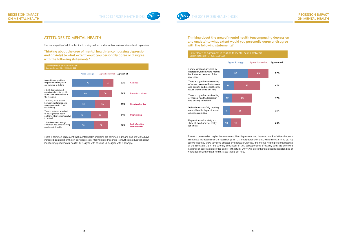## **Thinking about the area of mental health (encompassing depression and anxiety) to what extent would you personally agree or disagree with the following statements?**

There is a perceived strong link between mental health problems and the recession: 9 in 10 feel that such issues have increased since the recession (6 in 10 strongly agree with this), while almost 6 in 10 (57%) believe that they know someone affected by depression, anxiety and mental health problems because of the recession. 32% are strongly convinced of this, corresponding effectively with the perceived incidence of depression recorded earlier in the study. Only 47% agree there is a good understanding of where people with mental health issues should get help.

## **ATTITUDES TO MENTAL HEALTH**

The vast majority of adults subscribe to a fairly uniform and consistent series of views about depression.

**Thinking about the area of mental health (encompassing depression and anxiety) to what extent would you personally agree or disagree with the following statements?** 

| Universal views about depression<br>Base: Adults aged 16+, 1003/3,551,000                            |                       |                       |              |                                          |
|------------------------------------------------------------------------------------------------------|-----------------------|-----------------------|--------------|------------------------------------------|
|                                                                                                      | <b>Agree Strongly</b> | <b>Agree Somewhat</b> | Agree at all |                                          |
| Mental Health problems<br>(depression/anxiety etc.)<br>are common in Ireland                         | 70                    | 23                    |              | Common                                   |
| I think depression and<br>anxiety and mental health<br>issues have increased since<br>the recession  | 60                    | 30                    | 90%          | <b>Recession - related</b>               |
| I (believe) there is a link<br>between mental problems<br>(depression/anxiety) and<br>alcohol/drug   | 51                    | 34                    | 85%          | <b>Drug/Alcohol link</b>                 |
| There is a stigma attached<br>to having mental health<br>problems (depression/anxiety)<br>in Ireland | 43                    | 38                    | 81%          | <b>Stigmatising</b>                      |
| I feel there is not enough<br>education about maintaining<br>good mental health                      | 50                    | 30                    | 80%          | <b>Lack of positive</b><br>reinforcement |

There is common agreement that mental health problems are common in Ireland and are felt to have increased as a result of the on-going recession. Many believe that there is insufficient education about maintaining good mental health; 80% agree with this and 50% agree with it strongly.

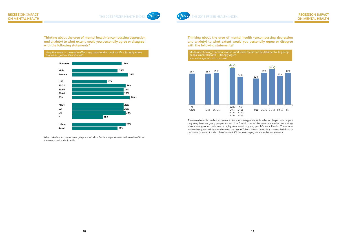

THE 2013 PFIZER HEALTH INDEX *Tzer* 

**Thinking about the area of mental health (encompassing depression and anxiety) to what extent would you personally agree or disagree with the following statements?** 



The research also focused upon communications technology and social media and the perceived impact they may have on young people. Almost 2 in 5 adults are of the view that modern technology encompassing social media can be highly detrimental to young people's mental health. This is most likely to be agreed with by those between the ages of 35 and 49 and particularly those with children in the home, (parents of under 16s) of whom 45% are in strong agreement with this statement.

**Thinking about the area of mental health (encompassing depression and anxiety) to what extent would you personally agree or disagree with the following statements?** 

When asked about mental health, a quarter of adults felt that negative news in the media affected their mood and outlook on life.

Negative news in the media affects my mood and outlook on life - Strongly Agree Base: Adults aged 16+, 1003/3,551,000

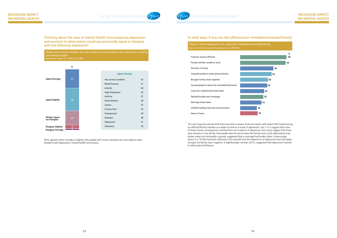

#### **In what ways, if any, has this affected your immediate/extended family?**

| Ways in which depression has impacted imm          |
|----------------------------------------------------|
| Base: 314 Adults impacted by depression /1,069,000 |



The vast majority indicate that there has been a severe financial impact, with about half characterising an affected family member as unable to work as a result of depression. Just 1 in 5 suggest that none of these various consequences resulted from an incidence of depression, but many suggest that there were divisions in the family, that people were forced to leave the family home, that relationships had broken down and ultimately a quarter suggested that a marriage had broken down. Interestingly, about 3 in 10 who had been affected in this way felt that the experience of depression had ultimately brought the family closer together. A slightly larger number (34%) suggested that depression had led to other physical illnesses.

**Thinking about the area of mental health (encompassing depression and anxiety) to what extent would you personally agree or disagree with the following statement?** 

People with chronic diseases are more likely to have problems with depression, anxiety and mental health Base: Adults aged 16+, 1003/3,551,000



69% agreed, either strongly or slightly, that people with chronic diseases are more likely to have problems with depression, mental health and anxiety.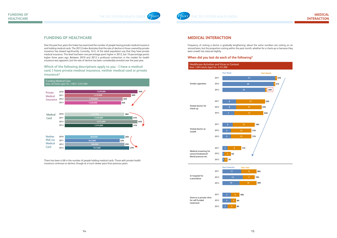

### **MEDICAL INTERACTION**

Frequency of visiting a doctor is gradually lengthening; about the same numbers are visiting on an annual basis, but the proportion visiting within the past month, whether for a check-up or because they were unwell, has reduced slightly.

#### **When did you last do each of the following?**



Gone to a private clinic for self-funded treatment



## **FUNDING OF HEALTHCARE**

Over the past four years the Index has examined the number of people having private medical insurance and holding medical cards. The 2013 Index illustrates that the rate of decline in those covered by private insurance has slowed significantly. Currently, 34% of the adult population say that they have private medical insurance. This level had been one percentage point higher in 2012, but 10 percentage points higher three years ago. Between 2010 and 2012 a profound contraction in the market for health insurance was apparent, but the rate of decline has been considerably arrested over the past year.

**Which of the following descriptions apply to you - I have a medical card, I have private medical insurance, neither medical card or private insurance?** 



There has been a fall in the number of people holding medical cards. Those with private health insurance continues to decline, though at a much slower pace than previous years.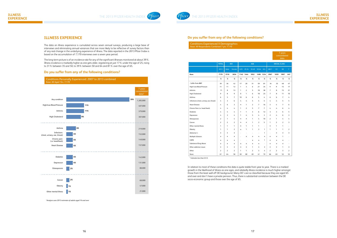

### **ILLNESS EXPERIENCE**

#### **Do you suffer from any of the following conditions?**

| <b>Conditions Experienced X Demographics</b><br>Base: All Respondents Combined 7 yrs: 7,170 |                |                |                |              |                |                |                |                |                |                     |                                 |                |
|---------------------------------------------------------------------------------------------|----------------|----------------|----------------|--------------|----------------|----------------|----------------|----------------|----------------|---------------------|---------------------------------|----------------|
|                                                                                             |                |                |                |              |                |                |                |                |                |                     | 7 years<br>consolidated<br>data |                |
|                                                                                             | <b>TOTAL</b>   |                | <b>SEX</b>     |              |                | <b>AGE</b>     |                |                |                | <b>SOCIAL CLASS</b> |                                 |                |
|                                                                                             | 2013           | Male           | Female         | <b>U25</b>   | 25-34          | 35-49          | 50-64          | $65+$          | ABC1           | C <sub>2</sub>      | <b>DE</b>                       | $\mathsf F$    |
| Base:                                                                                       | 7170           | 3516           | 3654           |              | 1142 1444      | 1852           |                | 1498 1234      | 2967           | 1659                | 1897                            | 647            |
|                                                                                             | %              | %              | %              | %            | %              | %              | %              | %              | %              | %                   | %                               | $\%$           |
| - Suffer from ANY                                                                           | 39             | 36             | 42             | 17           | 20             | 31             | 59             | 81             | 34             | 35                  | 48                              | 47             |
| High/Low Blood Pressure                                                                     | 11             | 11             | 12             | $\mathbf{1}$ | 3              | 6              | 21             | 34             | 9              | 9                   | 15                              | 17             |
| Arthritis                                                                                   | 11             | 8              | 13             | 1            | $\overline{2}$ | 5              | 18             | 38             | 7              | 8                   | 15                              | 21             |
| High Cholesterol                                                                            | 9              | 8              | 9              | 0            | 1              | 6              | 18             | 23             | $\overline{7}$ | 8                   | 11                              | 10             |
| Asthma                                                                                      | 6              | 5              | $\overline{7}$ | 10           | 6              | 6              | 5              | 4              | 6              | 6                   | $\overline{7}$                  | 4              |
| Infections (chest, urinary, ear, throat)                                                    | 4              | 3              | 6              | 4            | 4              | 5              | 5              | 5              | 4              | 4                   | 5                               | 5              |
| <b>Heart Disease</b>                                                                        | 4              | 6              | 3              | $^\star$     | 1              | $\overline{2}$ | 7              | 16             | 3              | 4                   | $\overline{7}$                  | 6              |
| Chronic Pain (i.e. head / back)                                                             | 4              | 4              | 4              | $\mathbf{1}$ | $\overline{2}$ | 5              | $\overline{7}$ | $\overline{7}$ | 4              | $\overline{4}$      | 6                               | 4              |
| <b>Diabetes</b>                                                                             | 4              | 4              | 4              | 1            | 1              | 3              | 6              | 12             | 3              | 3                   | 6                               | 5              |
| Depression                                                                                  | 4              | 3              | 4              | 1            | 4              | 5              | 4              | 3              | $\overline{2}$ | 4                   | 6                               | 3              |
| Osteoporosis                                                                                | $\overline{2}$ | 1              | 4              | $\star$      | $\star$        | 1              | 4              | 10             | $\overline{2}$ | 1                   | 4                               | 4              |
| Cancer                                                                                      | $\overline{2}$ | $\overline{2}$ | $\overline{2}$ | $\star$      | $\star$        | 1              | 3              | 5              | 1              | $\overline{2}$      | $\overline{2}$                  | 3              |
| Other mental illness                                                                        | 1              | $\mathbf{1}$   | $\mathbf{1}$   | $\star$      | $\mathbf{1}$   | $\mathbf{1}$   | 1              | ÷,             | $\star$        | 1                   | $\mathbf{1}$                    | ä,             |
| Obesity                                                                                     | 1              | 1              | $\overline{2}$ | *            | 1              | 1              | 3              | 1              | 1              | 1                   | $\mathbf{1}$                    | $\overline{2}$ |
| Alzheimer's                                                                                 | $\star$        | $\star$        | $\star$        |              |                |                | i,             | 1              | ÷,             | $\star$             | $\star$                         | $\star$        |
| Multiple Sclerosis                                                                          | *              | $\star$        | $\star$        | ÷.           | $\star$        | $\star$        | $\star$        | $\star$        | $\star$        | $\star$             | 1                               | ÷,             |
| COPD                                                                                        | $\star$        | $\star$        | $\star$        | $\sim$       | ä,             | $\star$        | $\star$        | 1              | $\star$        | $\star$             | $\star$                         | ä,             |
| Substance/Drug Abuse                                                                        | $\star$        | $\star$        | $\star$        | $\star$      | $\star$        | $\star$        | $\star$        | ä,             | $\star$        | $\star$             | $\star$                         | ÷              |
| Other addiction issues                                                                      | $\star$        | $^\star$       | $\star$        | $^\star$     | $\star$        | 1              | $\star$        | *              | *              | $\star$             | 1                               | $^\star$       |
| Other                                                                                       | $\overline{2}$ | $\overline{2}$ | $\overline{2}$ | $\mathbf{1}$ | $\mathbf{1}$   | $\overline{2}$ | 3              | 4              | $\overline{2}$ | $\overline{2}$      | 3                               | $\overline{2}$ |
| None                                                                                        | 61             | 64             | 58             | 83           | 80             | 69             | 41             | 19             | 66             | 65                  | 52                              | 53             |

\* Indicates less than 0.5%

In relation to most of these conditions the data is quite stable from year to year. There is a marked growth in the likelihood of illness as one ages, and relatedly illness incidence is much higher amongst those from the least well off DE background. Many DE's are so classified because they are aged 65 and over and don't have a private pension. Thus, there is substantial correlation between the DE socio-economic group and those over the age of 65.

## **ILLNESS EXPERIENCE**

The data on illness experience is cumulated across seven annual surveys, producing a large base of interviews and eliminating annual variances that are more likely to be reflective of survey factors than of any real change in the underlying experience of illness. The data reported in the 2013 Pfizer Index is based on the accumulation of 7,170 interviews over a seven year period.

The long-term picture is of an incidence rate for any of the significant illnesses monitored at about 39%. Illness incidence is markedly higher as one gets older, registering at just 17% under the age of 25, rising to 31% between 35 and 50, to 39% between 50 and 64 and 81% over the age of 65.

#### **Do you suffer from any of the following conditions?**



*\*Analysis uses 2013 estimate of adults aged 16 and over*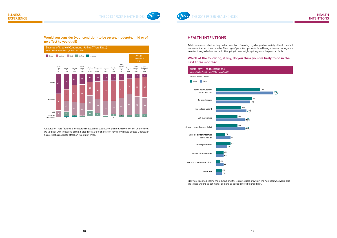

## **HEALTH INTENTIONS**

Adults were asked whether they had an intention of making any changes to a variety of health related issues over the next three months. The range of potential options included being active and taking more exercise, trying to be less stressed, attempting to lose weight, getting more sleep and so forth.

### **Which of the following, if any, do you think you are likely to do in the next three months?**

### **Would you consider (your condition) to be severe, moderate, mild or of no effect to you at all?**



A quarter or more feel that their heart disease, arthritis, cancer or pain has a severe effect on their lives. Up to a half with infections, asthma, blood pressure or cholesterol have only limited effects. Depression has at least a moderate effect on two out of three.



Many are keen to become more active and there is a notable growth in the numbers who would also like to lose weight, to get more sleep and to adopt a more balanced diet.

|    | 25% |       |  |
|----|-----|-------|--|
|    |     | (32%) |  |
|    |     |       |  |
|    |     |       |  |
|    |     |       |  |
| V, |     |       |  |
|    |     |       |  |
|    |     |       |  |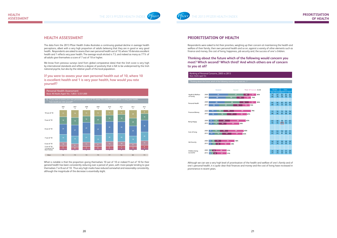

## **PRIORITISATION OF HEALTH**

## **PRIORITISATION OF HEALTH**

Respondents were asked to list their priorities, weighing up their concern at maintaining the health and welfare of their family, their own personal health and so on, against a variety of other elements such as finance and money, the cost of living, happiness, job security and, the success of one's children.

Although we can see a very high level of prioritisation of the health and welfare of one's family and of The degree of the carriers are of mightered of promission of the health and money of one sharmly and of<br>The degree of prioritisation of health, it is quite clear that finances and money and the cost of living have increase prominence in recent years.

## **Thinking about the future which of the following would concern you most? Which second? Which third? And which others are of concern to you at all?**

## **HEALTH ASSESSMENT**

The data from the 2013 Pfizer Health Index illustrates a continuing gradual decline in average health perceptions, albeit with a very high proportion of adults believing that they are in good or very good health. Respondents are asked to assess their own personal health out of 10, where 10 denotes excellent health and 1 reflects very poor health. The average result elicited is 7.5, and indeed as many as 77% of all adults give themselves a score of 7 out of 10 or higher.

We know from previous surveys (and from global comparative data) that the Irish score is very high by international standards and reflects a degree of positivity that is felt to be underpinned by the Irish national psyche, but also by the relative youth of the local population.

#### **If you were to assess your own personal health out of 10, where 10 is excellent health and 1 is very poor health, how would you rate yourself?**

What is notable is that the proportion giving themselves 10 out of 10 or indeed 9 out of 10 for their general health has been consistently reducing over a period of years, with more people tending to give themselves 7 or 8 out of 10. Thus very high marks have reduced somewhat and reasonably consistently, although the magnitude of the decrease is essentially slight.





| ern At All | Male     | Gender<br>Female | ABC1                    | Class<br>$\overline{C2}$ |                |  |  |  |
|------------|----------|------------------|-------------------------|--------------------------|----------------|--|--|--|
| 83%<br>;   | 79<br>69 | 87<br>79         | 84<br>76                | 84<br>76                 | DE<br>82<br>73 |  |  |  |
|            |          |                  |                         |                          |                |  |  |  |
| 83%        | 83<br>69 | 84<br>75         | 82<br>73                | 82<br>65                 | 82<br>74       |  |  |  |
|            |          |                  |                         |                          |                |  |  |  |
|            | 73<br>68 | 76<br>66         | 73<br>65                | 78<br>68                 | 76<br>68       |  |  |  |
|            |          |                  |                         |                          |                |  |  |  |
|            | 63<br>55 | 68<br>55         | (70)<br>$\overline{53}$ | 61<br>54                 | 62<br>57       |  |  |  |
|            |          |                  |                         |                          |                |  |  |  |
|            | 64<br>63 | 64<br>64         | 56<br>61                | 69<br>66                 | 71<br>66       |  |  |  |
|            |          |                  |                         |                          |                |  |  |  |
|            | 50<br>41 | 39<br>36         | 50<br>43                | 48<br>45                 | 39<br>31       |  |  |  |
|            |          |                  |                         |                          |                |  |  |  |
|            | 24<br>27 | 38<br>35         | 34<br>32                | 31<br>32                 | 28<br>33       |  |  |  |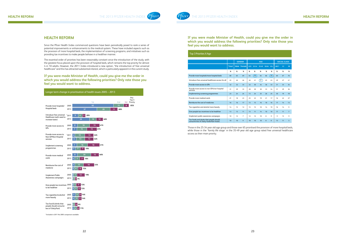

### **HEALTH REFORM**

Since the Pfizer Health Index commenced questions have been periodically posed to rank a series of potential improvements or enhancements to the medical system. These have included aspects such as the provision of more hospital beds, the implementation of screening programs, and initiatives such as providing tax incentives to make people behave in a healthier manner.

The essential order of priorities has been reasonably constant since the introduction of the study, with the greatest focus placed upon the provision of hospital beds, which remains the top priority for almost 4 in 10 adults. However, the 2011 Index introduced a new option, "the introduction of free universal healthcare" and this has attracted substantial interest, which is particularly apparent in the current study.

**If you were made Minister of Health, could you give me the order in which you would address the following priorities? Only rate those you feel you would want to address.**



\*Included in 2011 No 2005 comparison available

**If you were made Minister of Health, could you give me the order in which you would address the following priorities? Only rate those you feel you would want to address.**

Those in the 25-34 year old age group and those over 65 prioritised the provision of more hospital beds, while those in the 'family life stage' in the 35-49 year old age group rated free universal healthcare access as their main priority.

| Top 3 Priorities X Age                                                              |              |             |                |            |              |            |       |      |      |                     |                |
|-------------------------------------------------------------------------------------|--------------|-------------|----------------|------------|--------------|------------|-------|------|------|---------------------|----------------|
|                                                                                     |              |             | <b>GENDER</b>  |            |              | <b>AGE</b> |       |      |      | <b>SOCIAL CLASS</b> |                |
|                                                                                     | <b>Total</b> | <b>Male</b> | Female         | <b>U25</b> | 25-34        | 35-49      | 50-64 | 65+  | ABC1 | C <sub>2</sub>      | <b>DE</b>      |
|                                                                                     | $\%$         | %           | $\%$           | %          | %            | %          | $\%$  | %    | %    | %                   | $\%$           |
| Provide more hospitals/more hospital beds                                           | 68           | 65          | 69             | 64         | $70^{\circ}$ | 64         | 66    | (76) | 60   | 67                  | 76             |
| Introduce free universal healthcare access for all                                  | 45           | 46          | 46             | 46         | 41           | 51         | 45    | 43   | 49   | 47                  | 41             |
| Provide more access to GPs                                                          | 32           | 32          | 33             | 32         | 30           | 34         | 36    | 33   | 31   | 33                  | 34             |
| Provide more access to non GPs/non hospital<br>services                             | 31           | 29          | 33             | 28         | 30           | 30         | 33    | 34   | 31   | 29                  | 36             |
| Implementing screening programmes                                                   | 23           | 24          | 24             | 13         | 24           | 25         | 26    | 25   | 30   | 19                  | 18             |
| Provide more medical cards                                                          | 21           | 18          | 23             | 25         | 23           | 19         | 21    | 17   | 16   | 22                  | 27             |
| Reimburse the cost of medicines                                                     | 16           | 16          | 17             | 13         | 15           | 16         | 18    | 16   | 17   | 14                  | 13             |
| Tax cigarettes and alcohol more heavily                                             | 14           | 15          | 12             | 15         | 15           | 10         | 14    | 19   | 16   | 14                  | 9              |
| Give people tax incentives to be healthier                                          | 13           | 13          | 11             | 13         | 11           | 14         | 10    | 10   | 17   | 11                  | $\overline{7}$ |
| Implement public awareness campaigns                                                | 10           | 12          | $\overline{7}$ | 12         | 12           | 10         | 8     | 9    | 9    | 13                  | 9              |
| Tax foods and drinks that people should<br>consume less of (fatty foods/fast foods) | 10           | 10          | 9              | 18         | 10           | 10         | 8     | 8    | 13   | 11                  | 5              |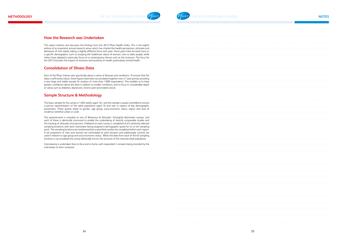



## **How the Research was Undertaken**

This report outlines and discusses the findings from the 2013 Pfizer Health Index. This is the eighth edition of an important annual research series, which has charted the health perceptions, attitudes and behaviour of Irish adults, taking a slightly different focus each year. Some years have focused more on a specific demographic, such as studying the healthcare status of women, men or older people, while others have adopted a particular focus on a contemporary theme such as the recession. The focus for the 2013 has been the impact of recession and austerity on health, particularly mental health.

## **Consolidation of Illness Data**

Each of the Pfizer Indices asks specifically about a series of illnesses and conditions. To ensure that the data is sufficiently robust, these figures have been accumulated together over a 7 year period, providing a very large and stable sample for analysis of more than 7,000 respondents. This enables us to have greater confidence about the data in relation to smaller conditions, and to focus in considerable depth on areas such as diabetes, depression, chronic pain and indeed cancer.

## **Sample Structure & Methodology**

The basic sample for this survey is 1,003 adults aged 16+, and the sample is quota controlled to ensure a precise representation of the adult population aged 16 and over in respect of key demographic parameters. These quotas relate to gender, age group, socio-economic status, region and area of residence (whether urban or rural).

The questionnaire is included on one of Behaviour & Attitudes' fortnightly Barometer surveys, and each of these is identically structured to enable the undertaking of directly comparable studies and the tracking of attitudes and opinions. Fieldwork on each survey is completed at 63 randomly selected sampling locations, with each interviewer being assigned a demographic quota for his or her sampling point. The sampling locations are randomised but a specified number are completed within each region. A set proportion of men and women are interviewed at each location and additionally controls are used in relation to age group and socio-economic status. When the data from each of the 63 sampling locations is accumulated the survey identically mirrors the structure of the national adult population.

Interviewing is undertaken face-to-face and in-home, with respondent's answers being recorded by the interviewer on their computer.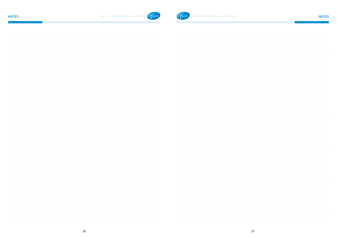

# **NOTES** THE 2013 PFIZER HEALTH INDEX **Pfizer**

| . |  |
|---|--|
|   |  |
|   |  |
|   |  |
|   |  |
|   |  |
|   |  |
|   |  |
|   |  |
|   |  |
|   |  |
|   |  |
|   |  |
|   |  |
|   |  |